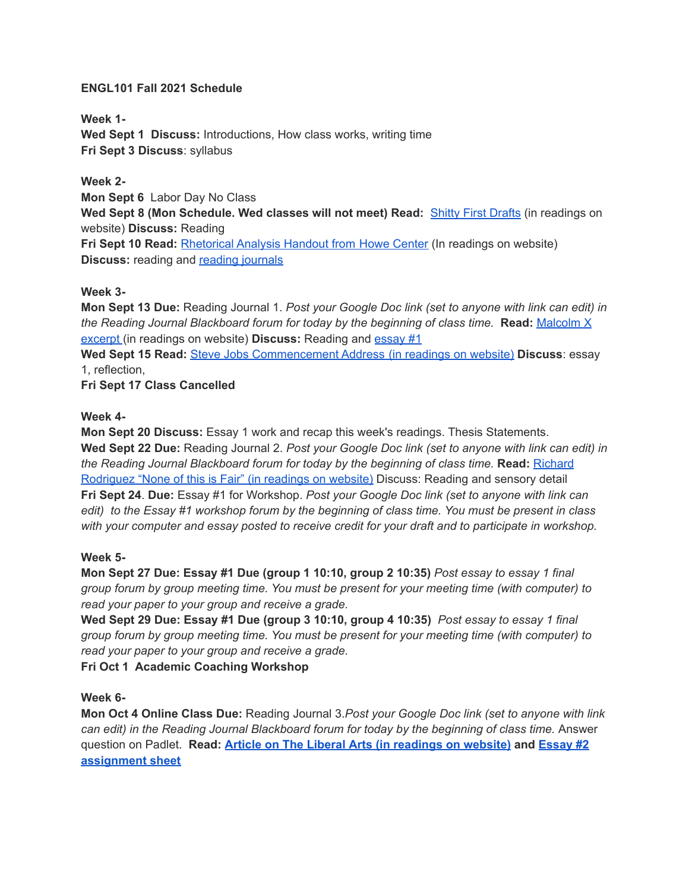#### **ENGL101 Fall 2021 Schedule**

**Week 1- Wed Sept 1 Discuss:** Introductions, How class works, writing time **Fri Sept 3 Discuss**: syllabus

# **Week 2-**

**Mon Sept 6** Labor Day No Class **Wed Sept 8 (Mon Schedule. Wed classes will not meet) Read:** [Shitty First Drafts](http://www.nicoleannwilliams.com/bsu-101101e-readings.html) (in readings on website) **Discuss:** Reading **Fri Sept 10 Read:** [Rhetorical Analysis Handout from](http://www.nicoleannwilliams.com/bsu-101101e-readings.html) Howe Center (In readings on website) **Discuss:** reading and **[reading journals](http://www.nicoleannwilliams.com/bsu-101reading-journals.html)** 

### **Week 3-**

**Mon Sept 13 Due:** Reading Journal 1. *Post your Google Doc link (set to anyone with link can edit) in the Reading Journal Blackboard forum for today by the beginning of class time.* **Read:** [Malcolm X](http://www.nicoleannwilliams.com/bsu-101101e-readings.html) [excerpt](http://www.nicoleannwilliams.com/bsu-101101e-readings.html) (in readings on website) **Discuss:** Reading and [essay #1](http://www.nicoleannwilliams.com/bsu-101-essay-1.html)

**Wed Sept 15 Read:** [Steve Jobs Commencement Address](http://www.nicoleannwilliams.com/bsu-101101e-readings.html) (in readings on website) **Discuss**: essay 1, reflection,

**Fri Sept 17 Class Cancelled**

### **Week 4-**

**Mon Sept 20 Discuss:** Essay 1 work and recap this week's readings. Thesis Statements. **Wed Sept 22 Due:** Reading Journal 2. *Post your Google Doc link (set to anyone with link can edit) in the Reading Journal Blackboard forum for today by the beginning of class time.* **Read:** [Richard](http://www.nicoleannwilliams.com/bsu-101101e-readings.html) [Rodriguez "None of this is Fair" \(in readings on website\)](http://www.nicoleannwilliams.com/bsu-101101e-readings.html) Discuss: Reading and sensory detail **Fri Sept 24**. **Due:** Essay #1 for Workshop. *Post your Google Doc link (set to anyone with link can edit) to the Essay #1 workshop forum by the beginning of class time. You must be present in class with your computer and essay posted to receive credit for your draft and to participate in workshop.*

# **Week 5-**

**Mon Sept 27 Due: Essay #1 Due (group 1 10:10, group 2 10:35)** *Post essay to essay 1 final group forum by group meeting time. You must be present for your meeting time (with computer) to read your paper to your group and receive a grade.*

**Wed Sept 29 Due: Essay #1 Due (group 3 10:10, group 4 10:35)** *Post essay to essay 1 final group forum by group meeting time. You must be present for your meeting time (with computer) to read your paper to your group and receive a grade.*

**Fri Oct 1 Academic Coaching Workshop**

# **Week 6-**

**Mon Oct 4 Online Class Due:** Reading Journal 3.*Post your Google Doc link (set to anyone with link can edit) in the Reading Journal Blackboard forum for today by the beginning of class time.* Answer question on Padlet. **Read: Article on The Liberal [Arts \(in readings on website\)](http://www.nicoleannwilliams.com/bsu-101101e-readings.html) and [Essay #2](http://www.nicoleannwilliams.com/bsu-101-essay-3.html) [assignment sheet](http://www.nicoleannwilliams.com/bsu-101-essay-3.html)**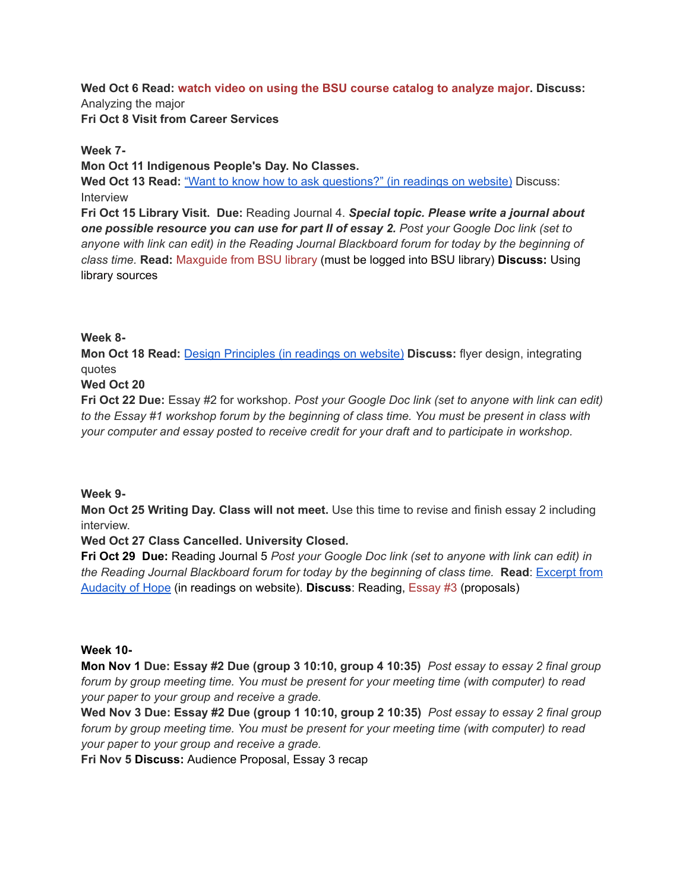**Wed Oct 6 Read: [watch video on using the BSU course catalog to analyze major.](https://youtu.be/JfVpj1MgccU) Discuss:** Analyzing the major **Fri Oct 8 Visit from Career Services**

### **Week 7-**

**Mon Oct 11 Indigenous People's Day. No Classes.**

**Wed Oct 13 Read:** ["Want to know how to ask questions?"](http://www.nicoleannwilliams.com/bsu-101101e-readings.html) (in readings on website) Discuss: Interview

**Fri Oct 15 Library Visit. Due:** Reading Journal 4. *Special topic. Please write a journal about one possible resource you can use for part II of essay 2. Post your Google Doc link (set to anyone with link can edit) in the Reading Journal Blackboard forum for today by the beginning of class time.* **Read:** [Maxguide from BSU library](https://library.bridgew.edu/guides/william101e) (must be logged into BSU library) **Discuss:** Using library sources

### **Week 8-**

**Mon Oct 18 Read:** [Design Principles \(in readings on](http://www.nicoleannwilliams.com/bsu-101101e-readings.html) website) **Discuss:** flyer design, integrating quotes

### **Wed Oct 20**

**Fri Oct 22 Due:** Essay #2 for workshop. *Post your Google Doc link (set to anyone with link can edit) to the Essay #1 workshop forum by the beginning of class time. You must be present in class with your computer and essay posted to receive credit for your draft and to participate in workshop.*

#### **Week 9-**

**Mon Oct 25 Writing Day. Class will not meet.** Use this time to revise and finish essay 2 including interview.

# **Wed Oct 27 Class Cancelled. University Closed.**

**Fri Oct 29 Due:** Reading Journal 5 *Post your Google Doc link (set to anyone with link can edit) in the Reading Journal Blackboard forum for today by the beginning of class time.* **Read**: [Excerpt from](http://www.nicoleannwilliams.com/bsu-101101e-readings.html) [Audacity of Hope](http://www.nicoleannwilliams.com/bsu-101101e-readings.html) (in readings on website). **Discuss**: Reading, [Essay #3](http://www.nicoleannwilliams.com/bsu-101-essay-4.html) (proposals)

#### **Week 10-**

**Mon Nov 1 Due: Essay #2 Due (group 3 10:10, group 4 10:35)** *Post essay to essay 2 final group forum by group meeting time. You must be present for your meeting time (with computer) to read your paper to your group and receive a grade.*

**Wed Nov 3 Due: Essay #2 Due (group 1 10:10, group 2 10:35)** *Post essay to essay 2 final group forum by group meeting time. You must be present for your meeting time (with computer) to read your paper to your group and receive a grade.*

**Fri Nov 5 Discuss:** Audience Proposal, Essay 3 recap